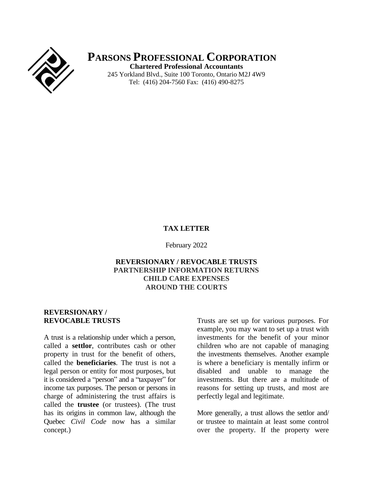

**PARSONS PROFESSIONAL CORPORATION Chartered Professional Accountants**

245 Yorkland Blvd., Suite 100 Toronto, Ontario M2J 4W9 Tel: (416) 204-7560 Fax: (416) 490-8275

#### **TAX LETTER**

February 2022

## **REVERSIONARY / REVOCABLE TRUSTS PARTNERSHIP INFORMATION RETURNS CHILD CARE EXPENSES AROUND THE COURTS**

## **REVERSIONARY / REVOCABLE TRUSTS**

A trust is a relationship under which a person, called a **settlor**, contributes cash or other property in trust for the benefit of others, called the **beneficiaries**. The trust is not a legal person or entity for most purposes, but it is considered a "person" and a "taxpayer" for income tax purposes. The person or persons in charge of administering the trust affairs is called the **trustee** (or trustees). (The trust has its origins in common law, although the Quebec *Civil Code* now has a similar concept.)

Trusts are set up for various purposes. For example, you may want to set up a trust with investments for the benefit of your minor children who are not capable of managing the investments themselves. Another example is where a beneficiary is mentally infirm or disabled and unable to manage the investments. But there are a multitude of reasons for setting up trusts, and most are perfectly legal and legitimate.

More generally, a trust allows the settlor and/ or trustee to maintain at least some control over the property. If the property were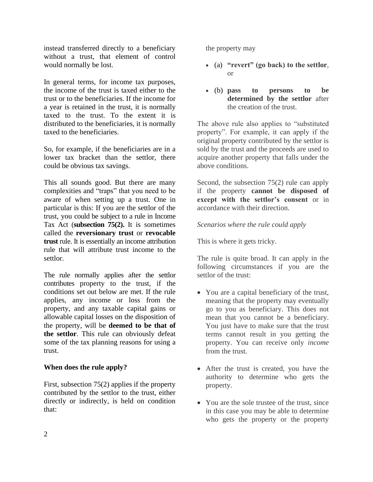instead transferred directly to a beneficiary without a trust, that element of control would normally be lost.

In general terms, for income tax purposes, the income of the trust is taxed either to the trust or to the beneficiaries. If the income for a year is retained in the trust, it is normally taxed to the trust. To the extent it is distributed to the beneficiaries, it is normally taxed to the beneficiaries.

So, for example, if the beneficiaries are in a lower tax bracket than the settlor, there could be obvious tax savings.

This all sounds good. But there are many complexities and "traps" that you need to be aware of when setting up a trust. One in particular is this: If you are the settlor of the trust, you could be subject to a rule in Income Tax Act (**subsection 75(2).** It is sometimes called the **reversionary trust** or **revocable trust** rule. It is essentially an income attribution rule that will attribute trust income to the settlor.

The rule normally applies after the settlor contributes property to the trust, if the conditions set out below are met. If the rule applies, any income or loss from the property, and any taxable capital gains or allowable capital losses on the disposition of the property, will be **deemed to be that of the settlor**. This rule can obviously defeat some of the tax planning reasons for using a trust.

# **When does the rule apply?**

First, subsection 75(2) applies if the property contributed by the settlor to the trust, either directly or indirectly, is held on condition that:

the property may

- (a) **"revert" (go back) to the settlor**, or
- (b) **pass to persons to be determined by the settlor** after the creation of the trust.

The above rule also applies to "substituted property". For example, it can apply if the original property contributed by the settlor is sold by the trust and the proceeds are used to acquire another property that falls under the above conditions.

Second, the subsection 75(2) rule can apply if the property **cannot be disposed of except with the settlor's consent** or in accordance with their direction.

*Scenarios where the rule could apply*

This is where it gets tricky.

The rule is quite broad. It can apply in the following circumstances if you are the settlor of the trust:

- You are a capital beneficiary of the trust, meaning that the property may eventually go to you as beneficiary. This does not mean that you cannot be a beneficiary. You just have to make sure that the trust terms cannot result in you getting the property. You can receive only *income* from the trust.
- After the trust is created, you have the authority to determine who gets the property.
- You are the sole trustee of the trust, since in this case you may be able to determine who gets the property or the property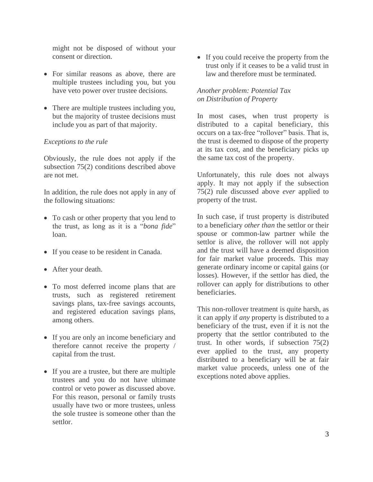might not be disposed of without your consent or direction.

- For similar reasons as above, there are multiple trustees including you, but you have veto power over trustee decisions.
- There are multiple trustees including you, but the majority of trustee decisions must include you as part of that majority.

### *Exceptions to the rule*

Obviously, the rule does not apply if the subsection 75(2) conditions described above are not met.

In addition, the rule does not apply in any of the following situations:

- To cash or other property that you lend to the trust, as long as it is a "*bona fide*" loan.
- If you cease to be resident in Canada.
- After your death.
- To most deferred income plans that are trusts, such as registered retirement savings plans, tax-free savings accounts, and registered education savings plans, among others.
- If you are only an income beneficiary and therefore cannot receive the property / capital from the trust.
- If you are a trustee, but there are multiple trustees and you do not have ultimate control or veto power as discussed above. For this reason, personal or family trusts usually have two or more trustees, unless the sole trustee is someone other than the settlor.

• If you could receive the property from the trust only if it ceases to be a valid trust in law and therefore must be terminated.

# *Another problem: Potential Tax on Distribution of Property*

In most cases, when trust property is distributed to a capital beneficiary, this occurs on a tax-free "rollover" basis. That is, the trust is deemed to dispose of the property at its tax cost, and the beneficiary picks up the same tax cost of the property.

Unfortunately, this rule does not always apply. It may not apply if the subsection 75(2) rule discussed above *ever* applied to property of the trust.

In such case, if trust property is distributed to a beneficiary *other than* the settlor or their spouse or common-law partner while the settlor is alive, the rollover will not apply and the trust will have a deemed disposition for fair market value proceeds. This may generate ordinary income or capital gains (or losses). However, if the settlor has died, the rollover can apply for distributions to other beneficiaries.

This non-rollover treatment is quite harsh, as it can apply if *any* property is distributed to a beneficiary of the trust, even if it is not the property that the settlor contributed to the trust. In other words, if subsection 75(2) ever applied to the trust, any property distributed to a beneficiary will be at fair market value proceeds, unless one of the exceptions noted above applies.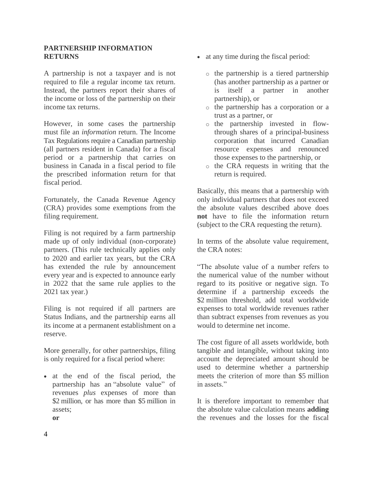### **PARTNERSHIP INFORMATION RETURNS**

A partnership is not a taxpayer and is not required to file a regular income tax return. Instead, the partners report their shares of the income or loss of the partnership on their income tax returns.

However, in some cases the partnership must file an *information* return. The Income Tax Regulations require a Canadian partnership (all partners resident in Canada) for a fiscal period or a partnership that carries on business in Canada in a fiscal period to file the prescribed information return for that fiscal period.

Fortunately, the Canada Revenue Agency (CRA) provides some exemptions from the filing requirement.

Filing is not required by a farm partnership made up of only individual (non-corporate) partners. (This rule technically applies only to 2020 and earlier tax years, but the CRA has extended the rule by announcement every year and is expected to announce early in 2022 that the same rule applies to the 2021 tax year.)

Filing is not required if all partners are Status Indians, and the partnership earns all its income at a permanent establishment on a reserve.

More generally, for other partnerships, filing is only required for a fiscal period where:

• at the end of the fiscal period, the partnership has an "absolute value" of revenues *plus* expenses of more than \$2 million, or has more than \$5 million in assets; **or**

- at any time during the fiscal period:
	- o the partnership is a tiered partnership (has another partnership as a partner or is itself a partner in another partnership), or
	- o the partnership has a corporation or a trust as a partner, or
	- o the partnership invested in flowthrough shares of a principal-business corporation that incurred Canadian resource expenses and renounced those expenses to the partnership, or
	- o the CRA requests in writing that the return is required.

Basically, this means that a partnership with only individual partners that does not exceed the absolute values described above does **not** have to file the information return (subject to the CRA requesting the return).

In terms of the absolute value requirement, the CRA notes:

"The absolute value of a number refers to the numerical value of the number without regard to its positive or negative sign. To determine if a partnership exceeds the \$2 million threshold, add total worldwide expenses to total worldwide revenues rather than subtract expenses from revenues as you would to determine net income.

The cost figure of all assets worldwide, both tangible and intangible, without taking into account the depreciated amount should be used to determine whether a partnership meets the criterion of more than \$5 million in assets."

It is therefore important to remember that the absolute value calculation means **adding** the revenues and the losses for the fiscal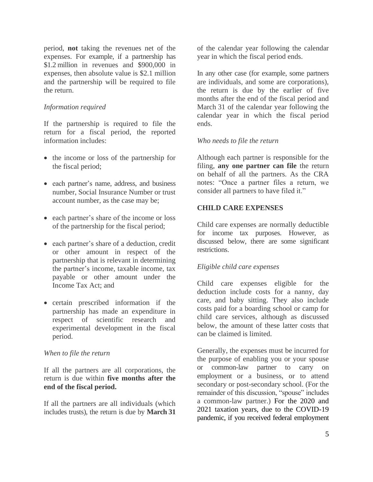period, **not** taking the revenues net of the expenses. For example, if a partnership has \$1.2 million in revenues and \$900,000 in expenses, then absolute value is \$2.1 million and the partnership will be required to file the return.

### *Information required*

If the partnership is required to file the return for a fiscal period, the reported information includes:

- the income or loss of the partnership for the fiscal period;
- each partner's name, address, and business number, Social Insurance Number or trust account number, as the case may be;
- each partner's share of the income or loss of the partnership for the fiscal period;
- each partner's share of a deduction, credit or other amount in respect of the partnership that is relevant in determining the partner's income, taxable income, tax payable or other amount under the Income Tax Act; and
- certain prescribed information if the partnership has made an expenditure in respect of scientific research and experimental development in the fiscal period.

#### *When to file the return*

If all the partners are all corporations, the return is due within **five months after the end of the fiscal period.**

If all the partners are all individuals (which includes trusts), the return is due by **March 31**

of the calendar year following the calendar year in which the fiscal period ends.

In any other case (for example, some partners are individuals, and some are corporations), the return is due by the earlier of five months after the end of the fiscal period and March 31 of the calendar year following the calendar year in which the fiscal period ends.

#### *Who needs to file the return*

Although each partner is responsible for the filing, **any one partner can file** the return on behalf of all the partners. As the CRA notes: "Once a partner files a return, we consider all partners to have filed it."

### **CHILD CARE EXPENSES**

Child care expenses are normally deductible for income tax purposes. However, as discussed below, there are some significant restrictions.

### *Eligible child care expenses*

Child care expenses eligible for the deduction include costs for a nanny, day care, and baby sitting. They also include costs paid for a boarding school or camp for child care services, although as discussed below, the amount of these latter costs that can be claimed is limited.

Generally, the expenses must be incurred for the purpose of enabling you or your spouse or common-law partner to carry on employment or a business, or to attend secondary or post-secondary school. (For the remainder of this discussion, "spouse" includes a common-law partner.) For the 2020 and 2021 taxation years, due to the COVID-19 pandemic, if you received federal employment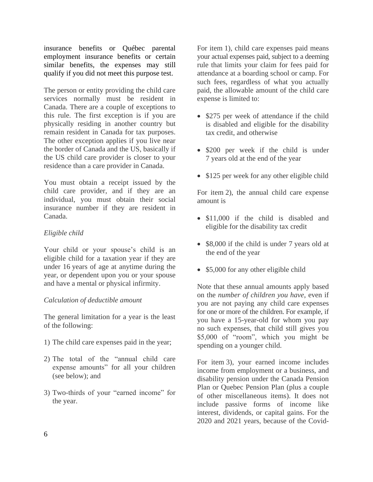insurance benefits or Québec parental employment insurance benefits or certain similar benefits, the expenses may still qualify if you did not meet this purpose test.

The person or entity providing the child care services normally must be resident in Canada. There are a couple of exceptions to this rule. The first exception is if you are physically residing in another country but remain resident in Canada for tax purposes. The other exception applies if you live near the border of Canada and the US, basically if the US child care provider is closer to your residence than a care provider in Canada.

You must obtain a receipt issued by the child care provider, and if they are an individual, you must obtain their social insurance number if they are resident in Canada.

# *Eligible child*

Your child or your spouse's child is an eligible child for a taxation year if they are under 16 years of age at anytime during the year, or dependent upon you or your spouse and have a mental or physical infirmity.

### *Calculation of deductible amount*

The general limitation for a year is the least of the following:

- 1) The child care expenses paid in the year;
- 2) The total of the "annual child care expense amounts" for all your children (see below); and
- 3) Two-thirds of your "earned income" for the year.

For item 1), child care expenses paid means your actual expenses paid, subject to a deeming rule that limits your claim for fees paid for attendance at a boarding school or camp. For such fees, regardless of what you actually paid, the allowable amount of the child care expense is limited to:

- \$275 per week of attendance if the child is disabled and eligible for the disability tax credit, and otherwise
- \$200 per week if the child is under 7 years old at the end of the year
- \$125 per week for any other eligible child

For item 2), the annual child care expense amount is

- \$11,000 if the child is disabled and eligible for the disability tax credit
- \$8,000 if the child is under 7 years old at the end of the year
- \$5,000 for any other eligible child

Note that these annual amounts apply based on the *number of children you have*, even if you are not paying any child care expenses for one or more of the children. For example, if you have a 15-year-old for whom you pay no such expenses, that child still gives you \$5,000 of "room", which you might be spending on a younger child.

For item 3), your earned income includes income from employment or a business, and disability pension under the Canada Pension Plan or Quebec Pension Plan (plus a couple of other miscellaneous items). It does not include passive forms of income like interest, dividends, or capital gains. For the 2020 and 2021 years, because of the Covid-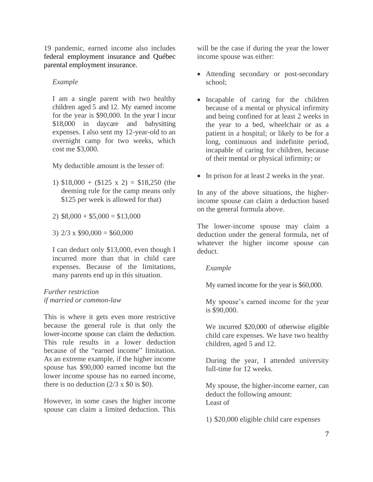19 pandemic, earned income also includes federal employment insurance and Québec parental employment insurance.

#### *Example*

I am a single parent with two healthy children aged 5 and 12. My earned income for the year is \$90,000. In the year I incur \$18,000 in daycare and babysitting expenses. I also sent my 12-year-old to an overnight camp for two weeks, which cost me \$3,000.

My deductible amount is the lesser of:

1)  $$18,000 + (125 \times 2) = $18,250$  (the deeming rule for the camp means only \$125 per week is allowed for that)

2)  $$8,000 + $5,000 = $13,000$ 

3)  $2/3 \times $90,000 = $60,000$ 

I can deduct only \$13,000, even though I incurred more than that in child care expenses. Because of the limitations, many parents end up in this situation.

### *Further restriction if married or common-law*

This is where it gets even more restrictive because the general rule is that only the lower-income spouse can claim the deduction. This rule results in a lower deduction because of the "earned income" limitation. As an extreme example, if the higher income spouse has \$90,000 earned income but the lower income spouse has no earned income, there is no deduction  $(2/3 \times $0]$  is \$0.

However, in some cases the higher income spouse can claim a limited deduction. This

will be the case if during the year the lower income spouse was either:

- Attending secondary or post-secondary school;
- Incapable of caring for the children because of a mental or physical infirmity and being confined for at least 2 weeks in the year to a bed, wheelchair or as a patient in a hospital; or likely to be for a long, continuous and indefinite period, incapable of caring for children, because of their mental or physical infirmity; or
- In prison for at least 2 weeks in the year.

In any of the above situations, the higherincome spouse can claim a deduction based on the general formula above.

The lower-income spouse may claim a deduction under the general formula, net of whatever the higher income spouse can deduct.

### *Example*

My earned income for the year is \$60,000.

My spouse's earned income for the year is \$90,000.

We incurred \$20,000 of otherwise eligible child care expenses. We have two healthy children, aged 5 and 12.

During the year, I attended university full-time for 12 weeks.

My spouse, the higher-income earner, can deduct the following amount: Least of

1) \$20,000 eligible child care expenses